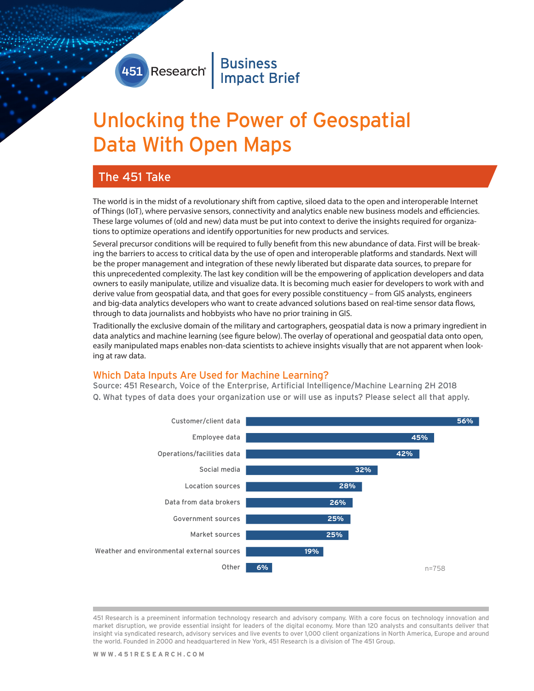# 451 Research Business

# Unlocking the Power of Geospatial Data With Open Maps

## The 451 Take

The world is in the midst of a revolutionary shift from captive, siloed data to the open and interoperable Internet of Things (IoT), where pervasive sensors, connectivity and analytics enable new business models and efficiencies. These large volumes of (old and new) data must be put into context to derive the insights required for organizations to optimize operations and identify opportunities for new products and services.

Several precursor conditions will be required to fully benefit from this new abundance of data. First will be breaking the barriers to access to critical data by the use of open and interoperable platforms and standards. Next will be the proper management and integration of these newly liberated but disparate data sources, to prepare for this unprecedented complexity. The last key condition will be the empowering of application developers and data owners to easily manipulate, utilize and visualize data. It is becoming much easier for developers to work with and derive value from geospatial data, and that goes for every possible constituency – from GIS analysts, engineers and big-data analytics developers who want to create advanced solutions based on real-time sensor data flows, through to data journalists and hobbyists who have no prior training in GIS.

Traditionally the exclusive domain of the military and cartographers, geospatial data is now a primary ingredient in data analytics and machine learning (see figure below). The overlay of operational and geospatial data onto open, easily manipulated maps enables non-data scientists to achieve insights visually that are not apparent when looking at raw data.

#### Which Data Inputs Are Used for Machine Learning?

Source: 451 Research, Voice of the Enterprise, Artificial Intelligence/Machine Learning 2H 2018 Q. What types of data does your organization use or will use as inputs? Please select all that apply.



451 Research is a preeminent information technology research and advisory company. With a core focus on technology innovation and market disruption, we provide essential insight for leaders of the digital economy. More than 120 analysts and consultants deliver that insight via syndicated research, advisory services and live events to over 1,000 client organizations in North America, Europe and around the world. Founded in 2000 and headquartered in New York, 451 Research is a division of The 451 Group.